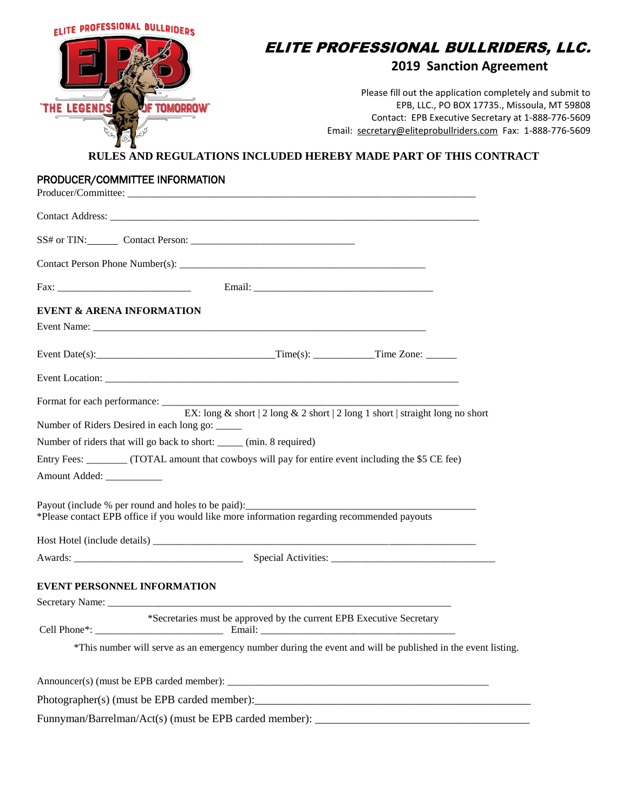| <b>ELITE PROFESSIONAL BULLRIDERS</b>                                                                                                                                                                                           |                                                                                                                                                                                                                                                                                                   |
|--------------------------------------------------------------------------------------------------------------------------------------------------------------------------------------------------------------------------------|---------------------------------------------------------------------------------------------------------------------------------------------------------------------------------------------------------------------------------------------------------------------------------------------------|
|                                                                                                                                                                                                                                | ELITE PROFESSIONAL BULLRIDERS, LLC.<br><b>2019 Sanction Agreement</b>                                                                                                                                                                                                                             |
| THE LEGENDS<br><b>JF TOMORROW</b>                                                                                                                                                                                              | Please fill out the application completely and submit to<br>EPB, LLC., PO BOX 17735., Missoula, MT 59808<br>Contact: EPB Executive Secretary at 1-888-776-5609<br>Email: secretary@eliteprobullriders.com Fax: 1-888-776-5609<br>RULES AND REGULATIONS INCLUDED HEREBY MADE PART OF THIS CONTRACT |
| PRODUCER/COMMITTEE INFORMATION                                                                                                                                                                                                 |                                                                                                                                                                                                                                                                                                   |
|                                                                                                                                                                                                                                |                                                                                                                                                                                                                                                                                                   |
|                                                                                                                                                                                                                                |                                                                                                                                                                                                                                                                                                   |
|                                                                                                                                                                                                                                |                                                                                                                                                                                                                                                                                                   |
|                                                                                                                                                                                                                                |                                                                                                                                                                                                                                                                                                   |
| <b>EVENT &amp; ARENA INFORMATION</b>                                                                                                                                                                                           |                                                                                                                                                                                                                                                                                                   |
|                                                                                                                                                                                                                                |                                                                                                                                                                                                                                                                                                   |
|                                                                                                                                                                                                                                | Event Date(s): Time(s): Time(s): Time Zone:                                                                                                                                                                                                                                                       |
|                                                                                                                                                                                                                                |                                                                                                                                                                                                                                                                                                   |
| Format for each performance: Latin and the state of the state of the state of the state of the state of the state of the state of the state of the state of the state of the state of the state of the state of the state of t |                                                                                                                                                                                                                                                                                                   |
| Number of Riders Desired in each long go: _____                                                                                                                                                                                | EX: long & short   2 long & 2 short   2 long 1 short   straight long no short                                                                                                                                                                                                                     |
| Number of riders that will go back to short: _____ (min. 8 required)                                                                                                                                                           |                                                                                                                                                                                                                                                                                                   |
|                                                                                                                                                                                                                                | Entry Fees: ________ (TOTAL amount that cowboys will pay for entire event including the \$5 CE fee)                                                                                                                                                                                               |
| Amount Added:                                                                                                                                                                                                                  |                                                                                                                                                                                                                                                                                                   |
|                                                                                                                                                                                                                                | Payout (include % per round and holes to be paid):<br>*Please contact EPB office if you would like more information regarding recommended payouts                                                                                                                                                 |
|                                                                                                                                                                                                                                |                                                                                                                                                                                                                                                                                                   |
|                                                                                                                                                                                                                                |                                                                                                                                                                                                                                                                                                   |
| <b>EVENT PERSONNEL INFORMATION</b>                                                                                                                                                                                             |                                                                                                                                                                                                                                                                                                   |
|                                                                                                                                                                                                                                |                                                                                                                                                                                                                                                                                                   |
|                                                                                                                                                                                                                                | *Secretaries must be approved by the current EPB Executive Secretary                                                                                                                                                                                                                              |
|                                                                                                                                                                                                                                | *This number will serve as an emergency number during the event and will be published in the event listing.                                                                                                                                                                                       |
|                                                                                                                                                                                                                                |                                                                                                                                                                                                                                                                                                   |
|                                                                                                                                                                                                                                |                                                                                                                                                                                                                                                                                                   |
|                                                                                                                                                                                                                                |                                                                                                                                                                                                                                                                                                   |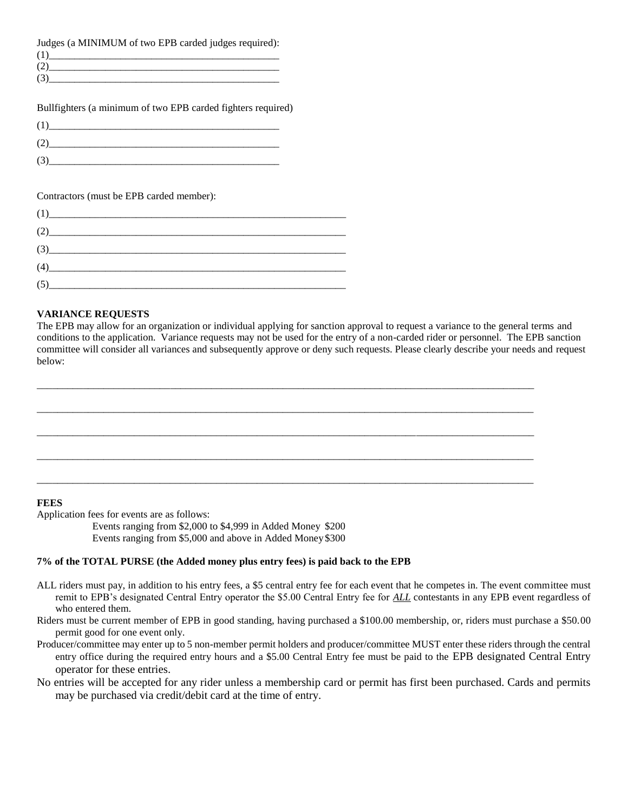Judges (a MINIMUM of two EPB carded judges required):

| ( I ) |  |
|-------|--|
| -02)  |  |
| (3)   |  |
|       |  |

Bullfighters (a minimum of two EPB carded fighters required)

| (1) |  |
|-----|--|
| (2) |  |
| (3) |  |

Contractors (must be EPB carded member):

| (1)                                                                                                                                                                                                                         |  |
|-----------------------------------------------------------------------------------------------------------------------------------------------------------------------------------------------------------------------------|--|
| (2)                                                                                                                                                                                                                         |  |
| $(3)$ and $(3)$ and $(3)$ and $(3)$ and $(3)$ and $(3)$ and $(3)$ and $(3)$ and $(3)$ and $(3)$ and $(3)$ and $(3)$ and $(3)$ and $(3)$ and $(3)$ and $(3)$ and $(3)$ and $(3)$ and $(3)$ and $(3)$ and $(3)$ and $(3)$ and |  |
| (4)                                                                                                                                                                                                                         |  |
| (5)                                                                                                                                                                                                                         |  |

## **VARIANCE REQUESTS**

The EPB may allow for an organization or individual applying for sanction approval to request a variance to the general terms and conditions to the application. Variance requests may not be used for the entry of a non-carded rider or personnel. The EPB sanction committee will consider all variances and subsequently approve or deny such requests. Please clearly describe your needs and request below:

\_\_\_\_\_\_\_\_\_\_\_\_\_\_\_\_\_\_\_\_\_\_\_\_\_\_\_\_\_\_\_\_\_\_\_\_\_\_\_\_\_\_\_\_\_\_\_\_\_\_\_\_\_\_\_\_\_\_\_\_\_\_\_\_\_\_\_\_\_\_\_\_\_\_\_\_\_\_\_\_\_\_\_\_\_\_\_\_\_\_\_\_\_\_\_\_\_

 $\_$  ,  $\_$  ,  $\_$  ,  $\_$  ,  $\_$  ,  $\_$  ,  $\_$  ,  $\_$  ,  $\_$  ,  $\_$  ,  $\_$  ,  $\_$  ,  $\_$  ,  $\_$  ,  $\_$  ,  $\_$  ,  $\_$  ,  $\_$  ,  $\_$  ,  $\_$  ,  $\_$  ,  $\_$  ,  $\_$  ,  $\_$  ,  $\_$  ,  $\_$  ,  $\_$  ,  $\_$  ,  $\_$  ,  $\_$  ,  $\_$  ,  $\_$  ,  $\_$  ,  $\_$  ,  $\_$  ,  $\_$  ,  $\_$  ,

 $\overline{a_1}$  ,  $\overline{a_2}$  ,  $\overline{a_3}$  ,  $\overline{a_4}$  ,  $\overline{a_5}$  ,  $\overline{a_6}$  ,  $\overline{a_7}$  ,  $\overline{a_8}$  ,  $\overline{a_9}$  ,  $\overline{a_9}$  ,  $\overline{a_9}$  ,  $\overline{a_9}$  ,  $\overline{a_9}$  ,  $\overline{a_9}$  ,  $\overline{a_9}$  ,  $\overline{a_9}$  ,  $\overline{a_9}$  ,



Application fees for events are as follows:

Events ranging from \$2,000 to \$4,999 in Added Money \$200 Events ranging from \$5,000 and above in Added Money\$300

## **7% of the TOTAL PURSE (the Added money plus entry fees) is paid back to the EPB**

- ALL riders must pay, in addition to his entry fees, a \$5 central entry fee for each event that he competes in. The event committee must remit to EPB's designated Central Entry operator the \$5.00 Central Entry fee for *ALL* contestants in any EPB event regardless of who entered them.
- Riders must be current member of EPB in good standing, having purchased a \$100.00 membership, or, riders must purchase a \$50.00 permit good for one event only.
- Producer/committee may enter up to 5 non-member permit holders and producer/committee MUST enter these riders through the central entry office during the required entry hours and a \$5.00 Central Entry fee must be paid to the EPB designated Central Entry operator for these entries.
- No entries will be accepted for any rider unless a membership card or permit has first been purchased. Cards and permits may be purchased via credit/debit card at the time of entry.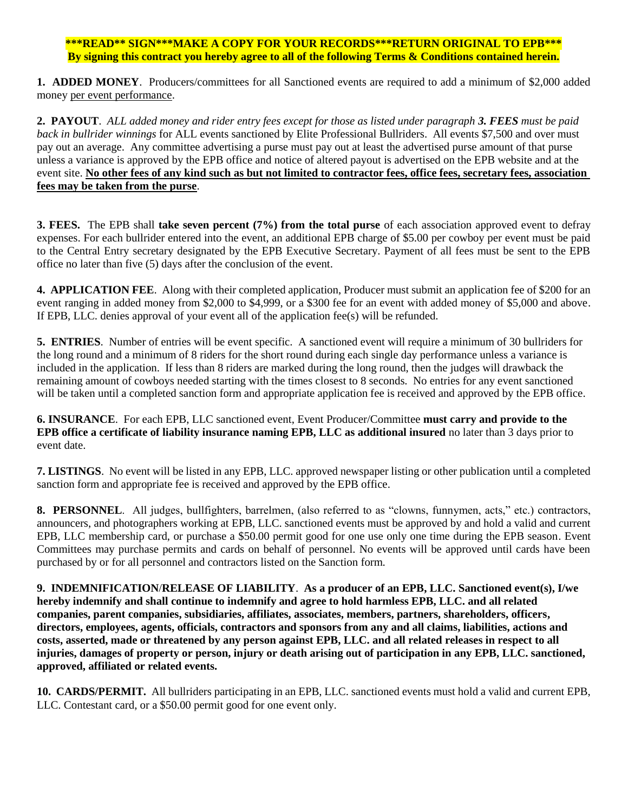## **\*\*\*READ\*\* SIGN\*\*\*MAKE A COPY FOR YOUR RECORDS\*\*\*RETURN ORIGINAL TO EPB\*\*\* By signing this contract you hereby agree to all of the following Terms & Conditions contained herein.**

**1. ADDED MONEY**. Producers/committees for all Sanctioned events are required to add a minimum of \$2,000 added money per event performance.

**2. PAYOUT**. *ALL added money and rider entry fees except for those as listed under paragraph 3. FEES must be paid back in bullrider winnings* for ALL events sanctioned by Elite Professional Bullriders. All events \$7,500 and over must pay out an average. Any committee advertising a purse must pay out at least the advertised purse amount of that purse unless a variance is approved by the EPB office and notice of altered payout is advertised on the EPB website and at the event site. **No other fees of any kind such as but not limited to contractor fees, office fees, secretary fees, association fees may be taken from the purse**.

**3. FEES.** The EPB shall **take seven percent (7%) from the total purse** of each association approved event to defray expenses. For each bullrider entered into the event, an additional EPB charge of \$5.00 per cowboy per event must be paid to the Central Entry secretary designated by the EPB Executive Secretary. Payment of all fees must be sent to the EPB office no later than five (5) days after the conclusion of the event.

**4. APPLICATION FEE**. Along with their completed application, Producer must submit an application fee of \$200 for an event ranging in added money from \$2,000 to \$4,999, or a \$300 fee for an event with added money of \$5,000 and above. If EPB, LLC. denies approval of your event all of the application fee(s) will be refunded.

**5. ENTRIES**. Number of entries will be event specific. A sanctioned event will require a minimum of 30 bullriders for the long round and a minimum of 8 riders for the short round during each single day performance unless a variance is included in the application. If less than 8 riders are marked during the long round, then the judges will drawback the remaining amount of cowboys needed starting with the times closest to 8 seconds. No entries for any event sanctioned will be taken until a completed sanction form and appropriate application fee is received and approved by the EPB office.

**6. INSURANCE**. For each EPB, LLC sanctioned event, Event Producer/Committee **must carry and provide to the EPB office a certificate of liability insurance naming EPB, LLC as additional insured** no later than 3 days prior to event date.

**7. LISTINGS**. No event will be listed in any EPB, LLC. approved newspaper listing or other publication until a completed sanction form and appropriate fee is received and approved by the EPB office.

**8. PERSONNEL**. All judges, bullfighters, barrelmen, (also referred to as "clowns, funnymen, acts," etc.) contractors, announcers, and photographers working at EPB, LLC. sanctioned events must be approved by and hold a valid and current EPB, LLC membership card, or purchase a \$50.00 permit good for one use only one time during the EPB season. Event Committees may purchase permits and cards on behalf of personnel. No events will be approved until cards have been purchased by or for all personnel and contractors listed on the Sanction form.

**9. INDEMNIFICATION**/**RELEASE OF LIABILITY**. **As a producer of an EPB, LLC. Sanctioned event(s), I/we hereby indemnify and shall continue to indemnify and agree to hold harmless EPB, LLC. and all related companies, parent companies, subsidiaries, affiliates, associates, members, partners, shareholders, officers, directors, employees, agents, officials, contractors and sponsors from any and all claims, liabilities, actions and costs, asserted, made or threatened by any person against EPB, LLC. and all related releases in respect to all injuries, damages of property or person, injury or death arising out of participation in any EPB, LLC. sanctioned, approved, affiliated or related events.** 

**10. CARDS/PERMIT.** All bullriders participating in an EPB, LLC. sanctioned events must hold a valid and current EPB, LLC. Contestant card, or a \$50.00 permit good for one event only.